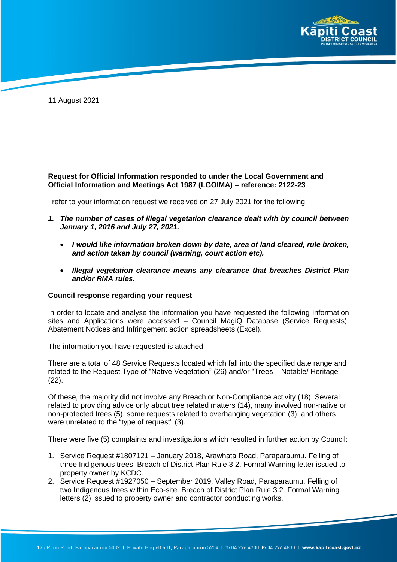

11 August 2021

## **Request for Official Information responded to under the Local Government and Official Information and Meetings Act 1987 (LGOIMA) – reference: 2122-23**

I refer to your information request we received on 27 July 2021 for the following:

- *1. The number of cases of illegal vegetation clearance dealt with by council between January 1, 2016 and July 27, 2021.*
	- *I would like information broken down by date, area of land cleared, rule broken, and action taken by council (warning, court action etc).*
	- *Illegal vegetation clearance means any clearance that breaches District Plan and/or RMA rules.*

## **Council response regarding your request**

In order to locate and analyse the information you have requested the following Information sites and Applications were accessed – Council MagiQ Database (Service Requests), Abatement Notices and Infringement action spreadsheets (Excel).

The information you have requested is attached.

There are a total of 48 Service Requests located which fall into the specified date range and related to the Request Type of "Native Vegetation" (26) and/or "Trees – Notable/ Heritage" (22).

Of these, the majority did not involve any Breach or Non-Compliance activity (18). Several related to providing advice only about tree related matters (14), many involved non-native or non-protected trees (5), some requests related to overhanging vegetation (3), and others were unrelated to the "type of request" (3).

There were five (5) complaints and investigations which resulted in further action by Council:

- 1. Service Request #1807121 January 2018, Arawhata Road, Paraparaumu. Felling of three Indigenous trees. Breach of District Plan Rule 3.2. Formal Warning letter issued to property owner by KCDC.
- 2. Service Request #1927050 September 2019, Valley Road, Paraparaumu. Felling of two Indigenous trees within Eco-site. Breach of District Plan Rule 3.2. Formal Warning letters (2) issued to property owner and contractor conducting works.